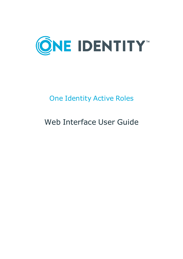

# One Identity Active Roles

# Web Interface User Guide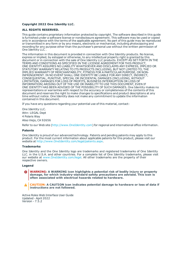#### **Copyright 2022 One Identity LLC.**

#### **ALL RIGHTS RESERVED.**

This guide contains proprietary information protected by copyright. The software described in this guide is furnished under a software license or nondisclosure agreement. This software may be used or copied only in accordance with the terms of the applicable agreement. No part of this guide may be reproduced or transmitted in any form or by any means, electronic or mechanical, including photocopying and recording for any purpose other than the purchaser's personal use without the written permission of One Identity LLC .

The information in this document is provided in connection with One Identity products. No license, express or implied, by estoppel or otherwise, to any intellectual property right is granted by this document or in connection with the sale of One Identity LLC products. EXCEPT AS SET FORTH IN THE TERMS AND CONDITIONS AS SPECIFIED IN THE LICENSE AGREEMENT FOR THIS PRODUCT, ONE IDENTITY ASSUMES NO LIABILITY WHATSOEVER AND DISCLAIMS ANY EXPRESS, IMPLIED OR STATUTORY WARRANTY RELATING TO ITS PRODUCTS INCLUDING, BUT NOT LIMITED TO, THE IMPLIED WARRANTY OF MERCHANTABILITY, FITNESS FOR A PARTICULAR PURPOSE, OR NON-INFRINGEMENT. IN NO EVENT SHALL ONE IDENTITY BE LIABLE FOR ANY DIRECT, INDIRECT, CONSEQUENTIAL, PUNITIVE, SPECIAL OR INCIDENTAL DAMAGES (INCLUDING, WITHOUT LIMITATION, DAMAGES FOR LOSS OF PROFITS, BUSINESS INTERRUPTION OR LOSS OF INFORMATION) ARISING OUT OF THE USE OR INABILITY TO USE THIS DOCUMENT, EVEN IF ONE IDENTITY HAS BEEN ADVISED OF THE POSSIBILITY OF SUCH DAMAGES. One Identity makes no representations or warranties with respect to the accuracy or completeness of the contents of this document and reserves the right to make changes to specifications and product descriptions at any time without notice. One Identity does not make any commitment to update the information contained in this document.

If you have any questions regarding your potential use of this material, contact:

One Identity LLC. Attn: LEGAL Dept 4 Polaris Way Aliso Viejo, CA 92656

Refer to our Web site ([http://www.OneIdentity.com](http://www.oneidentity.com/)) for regional and international office information.

#### **Patents**

One Identity is proud of our advanced technology. Patents and pending patents may apply to this product. For the most current information about applicable patents for this product, please visit our website at [http://www.OneIdentity.com/legal/patents.aspx](http://www.oneidentity.com/legal/patents.aspx).

#### **Trademarks**

One Identity and the One Identity logo are trademarks and registered trademarks of One Identity LLC. in the U.S.A. and other countries. For a complete list of One Identity trademarks, please visit our website at [www.OneIdentity.com/legal](http://www.oneidentity.com/legal). All other trademarks are the property of their respective owners.

#### **Legend**

**WARNING: A WARNING icon highlights a potential risk of bodily injury or property damage, for which industry-standard safety precautions are advised. This icon is often associated with electrical hazards related to hardware.**

**CAUTION: A CAUTION icon indicates potential damage to hardware or loss of data if** A **instructions are not followed.**

Active Roles Web Interface User Guide Updated - April 2022 Version - 7.5.2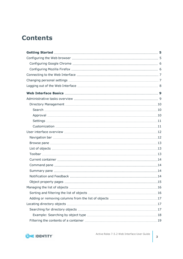# **Contents**

| .16 |
|-----|
|     |
|     |
|     |
|     |
|     |
|     |

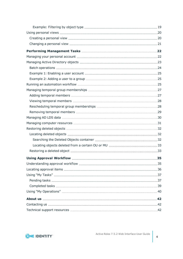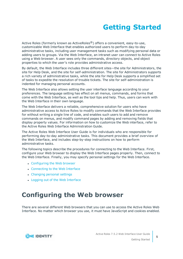# **Getting Started**

<span id="page-4-0"></span>Active Roles (formerly known as ActiveRoles<sup>®</sup>) offers a convenient, easy-to-use, customizable Web Interface that enables authorized users to perform day-to-day administrative tasks, including user management tasks such as modifying personal data or adding users to groups. Via the Web Interface, an intranet user can connect to Active Roles using a Web browser. A user sees only the commands, directory objects, and object properties to which the user's role provides administrative access.

By default, the Web Interface includes three different sites—the site for Administrators, the site for Help Desk, and the site for self-administration. The site for Administrators supports a rich variety of administrative tasks, while the site for Help Desk supports a simplified set of tasks to expedite the resolution of trouble tickets. The site for self-administration is indented for managing personal accounts.

The Web Interface also allows setting the user interface language according to your preferences. The language setting has effect on all menus, commands, and forms that come with the Web Interface, as well as the tool tips and help. Thus, users can work with the Web Interface in their own language.

The Web Interface delivers a reliable, comprehensive solution for users who have administrative access to Active Roles to modify commands that the Web Interface provides for without writing a single line of code, and enables such users to add and remove commands on menus, and modify command pages by adding and removing fields that display property values. For information on how to customize the Web interface, refer to the Active Roles Web Interface Administration Guide.

The Active Roles Web Interface User Guide is for individuals who are responsible for performing day-to-day administrative tasks. This document provides a brief overview of the Web Interface, and includes step-by-step instructions on how to perform administrative tasks.

The following topics describe the procedures for connecting to the Web Interface. First, configure your Web browser to display the Web Interface pages properly. Then, connect to the Web Interface. Finally, you may specify personal settings for the Web Interface.

- [Configuring](#page-4-1) the Web browser
- [Connecting](#page-6-0) to the Web Interface
- [Changing](#page-6-1) personal settings
- Logging out of the Web [Interface](#page-7-0)

# <span id="page-4-1"></span>**Configuring the Web browser**

There are several different Web browsers that you can use to access the Active Roles Web Interface. No matter which browser you use, it must have JavaScript and cookies enabled.



**5**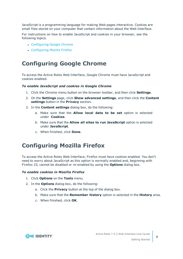JavaScript is a programming language for making Web pages interactive. Cookies are small files stored on your computer that contain information about the Web Interface.

For instructions on how to enable JavaScript and cookies in your browser, see the following topics.

- [Configuring](#page-5-0) Google Chrome
- [Configuring](#page-5-1) Mozilla Firefox

## <span id="page-5-0"></span>**Configuring Google Chrome**

To access the Active Roles Web Interface, Google Chrome must have JavaScript and cookies enabled.

### *To enable JavaScript and cookies in Google Chrome*

- 1. Click the Chrome menu button on the browser toolbar, and then click **Settings**.
- 2. On the **Settings** page, click **Show advanced settings**, and then click the **Content settings** button in the **Privacy** section.
- 3. In the **Content settings** dialog box, do the following:
	- a. Make sure that the **Allow local data to be set** option is selected under **Cookies**.
	- b. Make sure that the **Allow all sites to run JavaScript** option is selected under **JavaScript**.
	- c. When finished, click **Done**.

## <span id="page-5-1"></span>**Configuring Mozilla Firefox**

To access the Active Roles Web Interface, Firefox must have cookies enabled. You don't need to worry about JavaScript as this option is normally enabled and, beginning with Firefox 23, cannot be disabled or re-enabled by using the **Options** dialog box.

### *To enable cookies in Mozilla Firefox*

- 1. Click **Options** on the **Tools** menu.
- 2. In the **Options** dialog box, do the following:
	- a. Click the **Privacy** button at the top of the dialog box.
	- b. Make sure that the **Remember history** option is selected in the **History** area.
	- c. When finished, click **OK**.

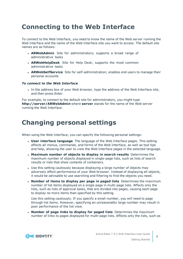# <span id="page-6-0"></span>**Connecting to the Web Interface**

To connect to the Web Interface, you need to know the name of the Web server running the Web Interface and the name of the Web Interface site you want to access. The default site names are as follows:

- **ARWebAdmin** Site for administrators; supports a broad range of administrative tasks
- **ARWebHelpDesk** Site for Help Desk; supports the most common administrative tasks
- **ARWebSelfService** Site for self-administration; enables end users to manage their personal accounts

### *To connect to the Web Interface*

In the address box of your Web browser, type the address of the Web Interface site, and then press Enter.

For example, to connect to the default site for administrators, you might type **http://server/ARWebAdmin** where **server** stands for the name of the Web server running the Web Interface.

# <span id="page-6-1"></span>**Changing personal settings**

When using the Web Interface, you can specify the following personal settings:

- <sup>l</sup> **User interface language** The language of the Web Interface pages. This setting affects all menus, commands, and forms of the Web Interface, as well as tool tips and help, allowing the user to view the Web Interface pages in the selected language.
- <sup>l</sup> **Maximum number of objects to display in search results** Determines the maximum number of objects displayed in single-page lists, such as lists of search results or lists that show contents of containers.
- Use this setting cautiously because displaying a large number of objects may adversely affect performance of your Web browser. Instead of displaying all objects, it would be advisable to use searching and filtering to find the objects you need.
- <sup>l</sup> **Number of items to display per page in paged lists** Determines the maximum number of list items displayed on a single page in multi-page lists. Affects only the lists, such as lists of approval tasks, that are divided into pages, causing each page to display no more items than specified by this setting.

Use this setting cautiously. If you specify a small number, you will need to page through list items. However, specifying an unreasonably large number may result in poor performance of the list view.

<sup>l</sup> **Number of page links to display for paged lists** Determines the maximum number of links to pages displayed for multi-page lists. Affects only the lists, such as



**7**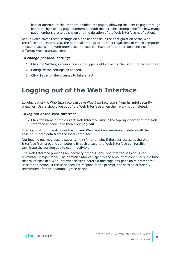lists of approval tasks, that are divided into pages, allowing the user to page through list items by clicking page numbers beneath the list. This setting specifies how many page numbers are to be shown and the duration of the Web Interface notification.

Active Roles saves these settings on a per-user basis in the configuration of the Web Interface site. Once saved, the personal settings take effect regardless of which computer is used to access the Web Interface. The user can have different personal settings for different Web Interface sites.

### *To change personal settings*

- 1. Click the **Settings** (gear) icon in the upper right corner of the Web Interface window.
- 2. Configure the settings as needed.
- <span id="page-7-0"></span>3. Click **Save** for the changes to take effect.

# **Logging out of the Web Interface**

Logging out of the Web Interface can save Web Interface users from harmful security breaches. Users should log out of the Web Interface when their work is completed.

### *To log out of the Web Interface*

• Click the name of the current Web Interface user in the top right corner of the Web Interface window, and then click **Log out**.

The **Log out** command closes the current Web Interface session and deletes all the session-related data from the local computer.

Not logging out may pose a security risk (for example, if the user accesses the Web Interface from a public computer). In such a case, the Web Interface can forcibly terminate the session due to user inactivity.

The Web Interface provides an inactivity timeout, ensuring that the session is not terminate unexpectedly. The administrator can specify the amount of continuous idle time that must pass in a Web Interface session before a message box pops up to prompt the user for an action. If the user does not respond to the prompt, the session is forcibly terminated after an additional grace period.

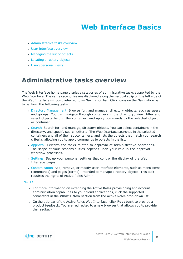# **Web Interface Basics**

- <span id="page-8-0"></span>• [Administrative](#page-8-1) tasks overview
- User interface [overview](#page-11-0)
- [Managing](#page-15-0) the list of objects
- Locating [directory](#page-16-1) objects
- <span id="page-8-1"></span>• Using [personal](#page-19-0) views

# **Administrative tasks overview**

The Web Interface home page displays categories of administrative tasks supported by the Web Interface. The same categories are displayed along the vertical strip on the left side of the Web Interface window, referred to as Navigation bar. Click icons on the Navigation bar to perform the following tasks:

- Directory [Management](#page-9-0) Browse for, and manage, directory objects, such as users and groups. You can navigate through containers in the directory; view, filter and select objects held in the container; and apply commands to the selected object or container.
- [Search](#page-9-1) Search for, and manage, directory objects. You can select containers in the directory, and specify search criteria. The Web Interface searches in the selected containers and all of their subcontainers, and lists the objects that match your search criteria, allowing you to apply commands to objects in the list.
- [Approval](#page-9-2) Perform the tasks related to approval of administrative operations. The scope of your responsibilities depends upon your role in the approval workflow processes.
- [Settings](#page-10-0) Set up your personal settings that control the display of the Web Interface pages.
- [Customization](#page-10-1) Add, remove, or modify user interface elements, such as menu items (commands) and pages (forms), intended to manage directory objects. This task requires the rights of Active Roles Admin.

#### NOTE:

- For more information on extending the Active Roles provisioning and account administration capabilities to your cloud applications, click the supported connectors in the **What's New** section from the Active Roles drop-down list.
- <sup>l</sup> On the title bar of the Active Roles Web Interface, click **Feedback** to provide a product feedback. You are redirected to a new browser that allows you to provide the feedback.

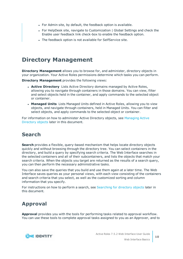- For Admin site, by default, the feedback option is available.
- For HelpDesk site, navigate to Customization | Global Settings and check the Enable user feedback link check-box to enable the feedback option.
- . The feedback option is not available for SelfService site.

## <span id="page-9-0"></span>**Directory Management**

**Directory Management** allows you to browse for, and administer, directory objects in your organization. Your Active Roles permissions determine which tasks you can perform.

**Directory Management** provides the following views:

- **Active Directory** Lists Active Directory domains managed by Active Roles, allowing you to navigate through containers in those domains. You can view, filter and select objects held in the container, and apply commands to the selected object or container.
- **Managed Units** Lists Managed Units defined in Active Roles, allowing you to view objects, and navigate through containers, held in Managed Units. You can filter and select objects, and apply commands to the selected object or container.

For information on how to administer Active Directory objects, see [Managing](#page-22-0) Active [Directory](#page-22-0) objects later in this document.

### <span id="page-9-1"></span>**Search**

**Search** provides a flexible, query-based mechanism that helps locate directory objects quickly and without browsing through the directory tree. You can select containers in the directory, and build a query by specifying search criteria. The Web Interface searches in the selected containers and all of their subcontainers, and lists the objects that match your search criteria. When the objects you target are returned as the results of a search query, you can then perform the necessary administrative tasks.

You can also save the queries that you build and use them again at a later time. The Web Interface saves queries as your personal views, with each view consisting of the containers and search criteria that you select, as well as the customized sorting and column information that you specify.

For instructions on how to perform a search, see [Searching](#page-16-2) for directory objects later in this document.

### <span id="page-9-2"></span>**Approval**

**Approval** provides you with the tools for performing tasks related to approval workflow. You can use these tools to complete approval tasks assigned to you as an Approver, and to

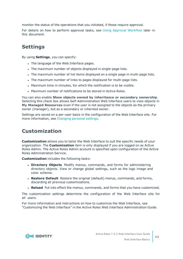monitor the status of the operations that you initiated, if those require approval.

For details on how to perform approval tasks, see Using Approval [Workflow](#page-34-0) later in this document.

### <span id="page-10-0"></span>**Settings**

By using **Settings**, you can specify:

- The language of the Web Interface pages.
- The maximum number of objects displayed in single-page lists.
- The maximum number of list items displayed on a single page in multi-page lists.
- . The maximum number of links to pages displayed for multi-page lists.
- Maximum time in minutes, for which the notification is to be visible.
- Maximum number of notifications to be stored in Active Roles.

You can also enable **Show objects owned by inheritance or secondary ownership**. Selecting this check box allows Self-Administration Web Interface users to view objects in **My Managed Resources** even if the user is not assigned to the objects as the primary owner (manager), but as a secondary or inherited owner.

Settings are saved on a per-user basis in the configuration of the Web Interface site. For more information, see [Changing](#page-6-1) personal settings.

### <span id="page-10-1"></span>**Customization**

**Customization** allows you to tailor the Web Interface to suit the specific needs of your organization. The **Customization** item is only displayed if you are logged on as Active Roles Admin. The Active Roles Admin account is specified upon configuration of the Active Roles Administration Service.

**Customization** includes the following tasks:

- **. Directory Objects** Modify menus, commands, and forms for administering directory objects. View or change global settings, such as the logo image and color scheme.
- **Restore Default** Restore the original (default) menus, commands, and forms, discarding all previous customizations.
- **Reload** Put into effect the menus, commands, and forms that you have customized.

The customization settings determine the configuration of the Web Interface site for all users.

For more information and instructions on how to customize the Web Interface, see "Customizing the Web Interface" in the Active Roles Web Interface Administration Guide.

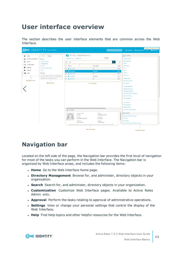# <span id="page-11-0"></span>**User interface overview**

The section describes the user interface elements that are common across the Web Interface.

|                                           | <b>ONE IDENTITY</b> Active Roles                                                                                                                                                                                                                                                  |                                                                                              |                                                                                       |                                                     | <b>Feedback and Notifications</b><br>Pa Feedback<br>$\bullet$ Active Roles 7.4 $\star$<br>ARSAdmin -<br>$\Delta V$                                                              |
|-------------------------------------------|-----------------------------------------------------------------------------------------------------------------------------------------------------------------------------------------------------------------------------------------------------------------------------------|----------------------------------------------------------------------------------------------|---------------------------------------------------------------------------------------|-----------------------------------------------------|---------------------------------------------------------------------------------------------------------------------------------------------------------------------------------|
| Home<br><b>Directory Management</b><br>ж. | <b>Views</b><br>Tree<br>Built-in                                                                                                                                                                                                                                                  | TESTOU (objects found: 5)<br>Active Directory / ARSRD.Lab                                    | Toolbar                                                                               |                                                     | Anu Mehta<br><b>Disable Account</b>                                                                                                                                             |
| Search<br>Q<br>Customization              | <b>Active Directory</b><br><b>Managed Units</b>                                                                                                                                                                                                                                   | Ξ.<br>Filter                                                                                 | $\mathbf \tau$                                                                        | v                                                   | <b>Reset Password</b><br>Delete                                                                                                                                                 |
| Approval<br>ы                             | AD LDS<br><b>Automation Workflows</b><br>Azure<br><b>Settings</b><br>Help<br>Personal<br>You have no personal Views. To create a View,<br>click the button on the left side of the toolbar,<br>and then click "Save current view".<br><b>Navigation bar</b><br><b>Browse pane</b> | $\Box$ Name<br>i□ A Ajay Gupta                                                               | <b>Description</b><br>QA                                                              | <b>Type</b><br>User                                 | Deprovision<br>Move                                                                                                                                                             |
| $\bullet$                                 |                                                                                                                                                                                                                                                                                   | <b>图 日 Anu Mehta</b><br>O & Ekta Gupta<br>Prashant P<br>$\Box$                               | <b>Developer</b><br><b>HR</b><br>Developer                                            | Copy<br>User<br>Rename<br>User<br>Member Of<br>User |                                                                                                                                                                                 |
|                                           |                                                                                                                                                                                                                                                                                   | O Priya Pate                                                                                 | QA<br>List of objects                                                                 | User                                                | <b>Change History</b><br><b>Entitlement Profile</b><br><b>User Activity</b>                                                                                                     |
|                                           |                                                                                                                                                                                                                                                                                   |                                                                                              |                                                                                       |                                                     | <b>General Properties</b><br><b>Managed Resources</b><br><b>Exchange Properties</b><br><b>Terminal Services Properties</b><br><b>Dial-in Properties</b><br><b>Name Mappings</b> |
|                                           |                                                                                                                                                                                                                                                                                   | Anu Mehta                                                                                    |                                                                                       |                                                     | <b>Move Mailbox</b><br><b>Disable Mailbox</b><br>Enable Archive<br><b>Convert to Linked Mailbox</b>                                                                             |
|                                           |                                                                                                                                                                                                                                                                                   | User logon name<br>amehta<br>Modified<br>9/26/2019 9:50:08 AM<br>Expiration<br>Never expires | E-mail<br>amehta@arsrd.lab<br>Description<br>Developer<br>Job title<br>Staff Engineer |                                                     | <b>TESTOU</b><br>Search under this container<br><b>New User</b><br><b>New Group</b><br>New Query-based Distribution Group                                                       |
|                                           |                                                                                                                                                                                                                                                                                   |                                                                                              | <b>Summary pane</b>                                                                   |                                                     | Command pane                                                                                                                                                                    |

# <span id="page-11-1"></span>**Navigation bar**

Located on the left side of the page, the Navigation bar provides the first level of navigation for most of the tasks you can perform in the Web Interface. The Navigation bar is organized by Web Interface areas, and includes the following items:

- **Home** Go to the Web Interface home page.
- <sup>l</sup> **Directory Management** Browse for, and administer, directory objects in your organization.
- **. Search** Search for, and administer, directory objects in your organization.
- **Customization** Customize Web Interface pages. Available to Active Roles Admin only.
- **Approval** Perform the tasks relating to approval of administrative operations.
- **Settings** View or change your personal settings that control the display of the Web Interface.
- **. Help** Find Help topics and other helpful resources for the Web Interface.

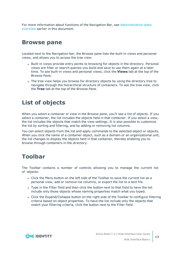For more information about functions of the Navigation Bar, see [Administrative](#page-8-1) tasks [overview](#page-8-1) earlier in this document.

### <span id="page-12-0"></span>**Browse pane**

Located next to the Navigation bar, the Browse pane lists the built-in views and personal views, and allows you to access the tree view:

- Built-in views provide entry points to browsing for objects in the directory. Personal views are filter or search queries you build and save to use them again at a later time. To see built-in views and personal views, click the **Views** tab at the top of the Browse Pane.
- The tree view helps you browse for directory objects by using the directory tree to navigate through the hierarchical structure of containers. To see the tree view, click the **Tree** tab at the top of the Browse Pane.

# <span id="page-12-1"></span>**List of objects**

When you select a container or view in the Browse pane, you'll see a list of objects. If you select a container, the list includes the objects held in that container. If you select a view, the list includes the objects that match the view settings. It is also possible to customize the list by sorting and filtering, and by adding or removing list columns.

You can select objects from the list and apply commands to the selected object or objects. When you click the name of a container object, such as a domain or an organizational unit, the list changes to display the objects held in that container, thereby enabling you to browse through containers in the directory.

# <span id="page-12-2"></span>**Toolbar**

The Toolbar contains a number of controls allowing you to manage the current list of objects:

- Click the Menu button on the left side of the Toolbar to save the current list as a personal view, add or remove list columns, or export the list to a text file.
- Type in the Filter field and then click the button next to that field to have the list include only those objects whose naming properties match what you typed.
- Click the Expand/Collapse button on the right side of the Toolbar to configure filtering criteria based on object properties. To have the list include only the objects that match your filtering criteria, click the button next to the Filter field.

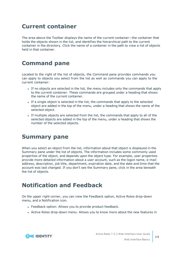### <span id="page-13-0"></span>**Current container**

The area above the Toolbar displays the name of the current container—the container that holds the objects shown in the list, and identifies the hierarchical path to the current container in the directory. Click the name of a container in the path to view a list of objects held in that container.

# <span id="page-13-1"></span>**Command pane**

Located to the right of the list of objects, the Command pane provides commands you can apply to objects you select from the list as well as commands you can apply to the current container:

- If no objects are selected in the list, the menu includes only the commands that apply to the current container. These commands are grouped under a heading that shows the name of the current container.
- If a single object is selected in the list, the commands that apply to the selected object are added in the top of the menu, under a heading that shows the name of the selected object.
- If multiple objects are selected from the list, the commands that apply to all of the selected objects are added in the top of the menu, under a heading that shows the number of the selected objects.

## <span id="page-13-2"></span>**Summary pane**

When you select an object from the list, information about that object is displayed in the Summary pane under the list of objects. The information includes some commonly used properties of the object, and depends upon the object type. For example, user properties provide more detailed information about a user account, such as the logon name, e-mail address, description, job title, department, expiration date, and the date and time that the account was last changed. If you don't see the Summary pane, click in the area beneath the list of objects.

# <span id="page-13-3"></span>**Notification and Feedback**

On the upper right corner, you can view the Feedback option, Active Roles drop-down menu, and a Notification icon.

- Feedback option: Allows you to provide product feedback.
- Active Roles drop-down menu: Allows you to know more about the new features in

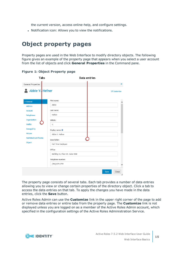the current version, access online-help, and configure settings.

• Notification icon: Allows you to view the notifications.

## <span id="page-14-0"></span>**Object property pages**

Property pages are used in the Web Interface to modify directory objects. The following figure gives an example of the property page that appears when you select a user account from the list of objects and click **General Properties** in the Command pane.

| <b>Tabs</b>                   |                                  | <b>Data entries</b> |
|-------------------------------|----------------------------------|---------------------|
| <b>General Properties</b>     |                                  | ×                   |
| Abbie V. Hefner               |                                  | C Customize         |
| > General                     | First name:                      |                     |
| <b>Address</b>                | Abbie                            |                     |
| <b>Account</b>                | Last name:                       |                     |
| <b>Telephones</b>             | Hefner                           |                     |
| Organization                  | Initials:                        |                     |
| Profile                       | V.                               |                     |
| <b>Managed by</b>             | Display name: 0                  |                     |
| Picture                       | Abbie V. Hefner                  |                     |
| <b>Published Certificates</b> | Description:                     |                     |
| Object                        | Full Time Employee               |                     |
|                               | Office:                          |                     |
|                               | Building 32, Floor 29, Cube 1068 |                     |
|                               | Telephone number:                |                     |
|                               | (704) 879-6799                   |                     |
|                               |                                  | Close<br>Save<br>h. |

**Figure 1: Object Property page**

The property page consists of several tabs. Each tab provides a number of data entries allowing you to view or change certain properties of the directory object. Click a tab to access the data entries on that tab. To apply the changes you have made in the data entries, click the **Save** button.

Active Roles Admin can use the **Customize** link in the upper right corner of the page to add or remove data entries or entire tabs from the property page. The **Customize** link is not displayed unless you are logged on as a member of the Active Roles Admin account, which specified in the configuration settings of the Active Roles Administration Service.

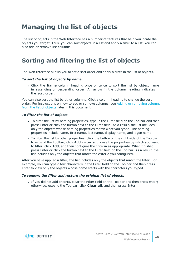# <span id="page-15-0"></span>**Managing the list of objects**

The list of objects in the Web Interface has a number of features that help you locate the objects you target. Thus, you can sort objects in a list and apply a filter to a list. You can also add or remove list columns.

# <span id="page-15-1"></span>**Sorting and filtering the list of objects**

The Web Interface allows you to set a sort order and apply a filter in the list of objects.

### *To sort the list of objects by name*

. Click the **Name** column heading once or twice to sort the list by object name in ascending or descending order. An arrow in the column heading indicates the sort order.

You can also sort the list by other columns. Click a column heading to change the sort order. For instructions on how to add or remove columns, see Adding or [removing](#page-16-0) columns from the list of [objects](#page-16-0) later in this document.

#### *To filter the list of objects*

- To filter the list by naming properties, type in the Filter field on the Toolbar and then press Enter or click the button next to the Filter field. As a result, the list includes only the objects whose naming properties match what you typed. The naming properties include name, first name, last name, display name, and logon name.
- To filter the list by other properties, click the button on the right side of the Toolbar to expand the Toolbar, click **Add criteria**, choose the properties by which you want to filter, click **Add**, and then configure the criteria as appropriate. When finished, press Enter or click the button next to the Filter field on the Toolbar. As a result, the list includes only the objects that match the criteria you configured.

After you have applied a filter, the list includes only the objects that match the filter. For example, you can type a few characters in the Filter field on the Toolbar and then press Enter to view only the objects whose name starts with the characters you typed.

### *To remove the filter and restore the original list of objects*

If you did not add criteria, clear the Filter field on the Toolbar and then press Enter; otherwise, expand the Toolbar, click **Clear all**, and then press Enter.

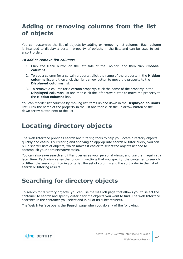## <span id="page-16-0"></span>**Adding or removing columns from the list of objects**

You can customize the list of objects by adding or removing list columns. Each column is intended to display a certain property of objects in the list, and can be used to set a sort order.

### *To add or remove list columns*

- 1. Click the Menu button on the left side of the Toolbar, and then click **Choose columns**.
- 2. To add a column for a certain property, click the name of the property in the **Hidden columns** list and then click the right arrow button to move the property to the **Displayed columns** list.
- 3. To remove a column for a certain property, click the name of the property in the **Displayed columns** list and then click the left arrow button to move the property to the **Hidden columns** list.

You can reorder list columns by moving list items up and down in the **Displayed columns** list: Click the name of the property in the list and then click the up arrow button or the down arrow button next to the list.

# <span id="page-16-1"></span>**Locating directory objects**

The Web Interface provides search and filtering tools to help you locate directory objects quickly and easily. By creating and applying an appropriate search or filter query, you can build shorter lists of objects, which makes it easier to select the objects needed to accomplish your administrative tasks.

You can also save search and filter queries as your personal views, and use them again at a later time. Each view saves the following settings that you specify: the container to search or filter; the search or filtering criteria; the set of columns and the sort order in the list of search or filtering results.

# <span id="page-16-2"></span>**Searching for directory objects**

To search for directory objects, you can use the **Search** page that allows you to select the container to search and specify criteria for the objects you want to find. The Web Interface searches in the container you select and in all of its subcontainers.

The Web Interface opens the **Search** page when you do any of the following:

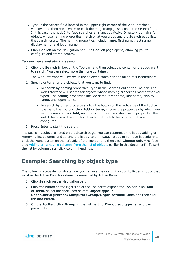- Type in the Search field located in the upper right corner of the Web Interface window, and then press Enter or click the magnifying glass icon in the Search field. In this case, the Web Interface searches all managed Active Directory domains for objects whose naming properties match what you typed and the **Search** page lists the search results. The naming properties include name, first name, last name, display name, and logon name.
- <sup>l</sup> Click **Search** on the Navigation bar. The **Search** page opens, allowing you to configure and start a search.

### *To configure and start a search*

1. Click the **Search in** box on the Toolbar, and then select the container that you want to search. You can select more than one container.

The Web Interface will search in the selected container and all of its subcontainers.

- 2. Specify criteria for the objects that you want to find:
	- To search by naming properties, type in the Search field on the Toolbar. The Web Interface will search for objects whose naming properties match what you typed. The naming properties include name, first name, last name, display name, and logon name.
	- To search by other properties, click the button on the right side of the Toolbar to expand the Toolbar, click **Add criteria**, choose the properties by which you want to search, click **Add**, and then configure the criteria as appropriate. The Web Interface will search for objects that match the criteria that you configured.
- 3. Press Enter to start the search.

The search results are listed on the Search page. You can customize the list by adding or removing list columns and sorting the list by column data. To add or remove list columns, click the Menu button on the left side of the Toolbar and then click **Choose columns** (see also Adding or [removing](#page-16-0) columns from the list of objects earlier in this document). To sort the list by column data, click column headings.

### <span id="page-17-0"></span>**Example: Searching by object type**

The following steps demonstrate how you can use the search function to list all groups that exist in the Active Directory domains managed by Active Roles:

- 1. Click **Search** on the Navigation bar.
- 2. Click the button on the right side of the Toolbar to expand the Toolbar, click **Add criteria**, select the check box next to **Object type is User/InetOrgPerson/Computer/Group/Organizational Unit**, and then click the **Add** button.
- 3. On the Toolbar, click **Group** in the list next to **The object type is**, and then press Enter.

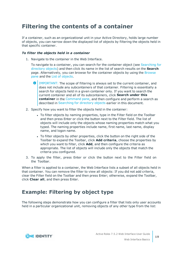## <span id="page-18-0"></span>**Filtering the contents of a container**

If a container, such as an organizational unit in your Active Directory, holds large number of objects, you can narrow down the displayed list of objects by filtering the objects held in that specific container.

### *To filter the objects held in a container*

1. Navigate to the container in the Web Interface.

To navigate to a container, you can search for the container object (see [Searching](#page-16-2) for [directory](#page-16-2) objects) and then click its name in the list of search results on the **Search** page. Alternatively, you can browse for the container objects by using the [Browse](#page-12-0) [pane](#page-12-0) and the List of [objects](#page-12-1).

- 6 IMPORTANT: The scope of filtering is always set to the current container, and does not include any subcontainers of that container. Filtering is essentially a search for objects held in a given container only. If you want to search the current container and all of its subcontainers, click **Search under this container** in the [Command](#page-13-1) pane, and then configure and perform a search as described in [Searching](#page-16-2) for directory objects earlier in this document.
- 2. Specify how you want to filter the objects held in the container:
	- To filter objects by naming properties, type in the Filter field on the Toolbar and then press Enter or click the button next to the Filter field. The list of objects will include only the objects whose naming properties match what you typed. The naming properties include name, first name, last name, display name, and logon name.
	- To filter objects by other properties, click the button on the right side of the Toolbar to expand the Toolbar, click **Add criteria**, choose the properties by which you want to filter, click **Add**, and then configure the criteria as appropriate. The list of objects will include only the objects that match the criteria you configured.
- 3. To apply the filter, press Enter or click the button next to the Filter field on the Toolbar.

When a filter is applied to a container, the Web Interface lists a subset of all objects held in that container. You can remove the filter to view all objects: If you did not add criteria, clear the Filter field on the Toolbar and then press Enter; otherwise, expand the Toolbar, click **Clear all**, and then press Enter.

### <span id="page-18-1"></span>**Example: Filtering by object type**

The following steps demonstrate how you can configure a filter that lists only user accounts held in a particular organizational unit, removing objects of any other type from the list:

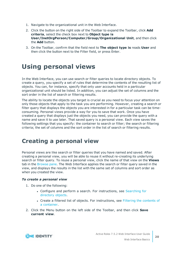- 1. Navigate to the organizational unit in the Web Interface.
- 2. Click the button on the right side of the Toolbar to expand the Toolbar, click **Add criteria**, select the check box next to **Object type is User/InetOrgPerson/Computer/Group/Organizational Unit**, and then click the **Add** button.
- 3. On the Toolbar, confirm that the field next to **The object type is** reads **User** and then click the button next to the Filter field, or press Enter.

# <span id="page-19-0"></span>**Using personal views**

In the Web Interface, you can use search or filter queries to locate directory objects. To create a query, you specify a set of rules that determine the contents of the resulting list of objects. You can, for instance, specify that only user accounts held in a particular organizational unit should be listed. In addition, you can adjust the set of columns and the sort order in the list of search or filtering results.

The ability to locate the objects you target is crucial as you need to focus your attention on only those objects that apply to the task you are performing. However, creating a search or filter query that displays the objects you are interested in for a particular task can be timeconsuming. Personal views provide a way for you to save that work. Once you have created a query that displays just the objects you need, you can provide the query with a name and save it to use later. That saved query is a personal view. Each view saves the following settings that you specify: the container to search or filter; the search or filtering criteria; the set of columns and the sort order in the list of search or filtering results.

## <span id="page-19-1"></span>**Creating a personal view**

Personal views are like search or filter queries that you have named and saved. After creating a personal view, you will be able to reuse it without re-creating its underlying search or filter query. To reuse a personal view, click the name of that view on the **Views** tab in the [Browse](#page-12-0) pane. The Web Interface applies the search or filter query saved in the view, and displays the results in the list with the same set of columns and sort order as when you created the view.

### *To create a personal view*

- 1. Do one of the following:
	- Configure and perform a search. For instructions, see [Searching](#page-16-2) for [directory](#page-16-2) objects.
	- Create a filtered list of objects. For instructions, see Filtering the [contents](#page-18-0) of a [container.](#page-18-0)
- 2. Click the Menu button on the left side of the Toolbar, and then click **Save current view**.

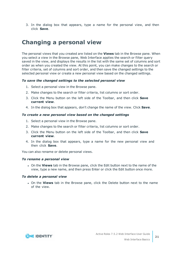3. In the dialog box that appears, type a name for the personal view, and then click **Save**.

## <span id="page-20-0"></span>**Changing a personal view**

The personal views that you created are listed on the **Views** tab in the Browse pane. When you select a view in the Browse pane, Web Interface applies the search or filter query saved in the view, and displays the results in the list with the same set of columns and sort order as when you created the view. At this point, you can make changes to the search or filter criteria, set of columns and sort order, and then save the changed settings to the selected personal view or create a new personal view based on the changed settings.

### *To save the changed settings to the selected personal view*

- 1. Select a personal view in the Browse pane.
- 2. Make changes to the search or filter criteria, list columns or sort order.
- 3. Click the Menu button on the left side of the Toolbar, and then click **Save current view**.
- 4. In the dialog box that appears, don't change the name of the view. Click **Save**.

#### *To create a new personal view based on the changed settings*

- 1. Select a personal view in the Browse pane.
- 2. Make changes to the search or filter criteria, list columns or sort order.
- 3. Click the Menu button on the left side of the Toolbar, and then click **Save current view**.
- 4. In the dialog box that appears, type a name for the new personal view and then click **Save**.

You can also rename or delete personal views.

### *To rename a personal view*

**.** On the **Views** tab in the Browse pane, click the Edit button next to the name of the view, type a new name, and then press Enter or click the Edit button once more.

#### *To delete a personal view*

<sup>l</sup> On the **Views** tab in the Browse pane, click the Delete button next to the name of the view.

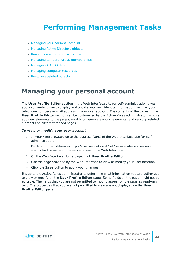# <span id="page-21-0"></span>**Performing Management Tasks**

- [Managing](#page-21-1) your personal account
- [Managing](#page-22-0) Active Directory objects
- Running an [automation](#page-24-2) workflow
- Managing temporal group [memberships](#page-26-0)
- [Managing](#page-29-0) AD LDS data
- Managing computer [resources](#page-30-0)
- <span id="page-21-1"></span>• [Restoring](#page-31-0) deleted objects

# **Managing your personal account**

The **User Profile Editor** section in the Web Interface site for self-administration gives you a convenient way to display and update your own identity information, such as your telephone numbers or mail address in your user account. The contents of the pages in the **User Profile Editor** section can be customized by the Active Roles administrator, who can add new elements to the pages, modify or remove existing elements, and regroup related elements on different tabbed pages.

#### *To view or modify your user account*

1. In your Web browser, go to the address (URL) of the Web Interface site for selfadministration.

By default, the address is http://<server>/ARWebSelfService where <server> stands for the name of the server running the Web Interface.

- 2. On the Web Interface Home page, click **User Profile Editor**.
- 3. Use the page provided by the Web Interface to view or modify your user account.
- 4. Click the **Save** button to apply your changes.

It's up to the Active Roles administrator to determine what information you are authorized to view or modify on the **User Profile Editor** page. Some fields on the page might not be editable. The fields that you are not permitted to modify appear on the page as read-only text. The properties that you are not permitted to view are not displayed on the **User Profile Editor** page.

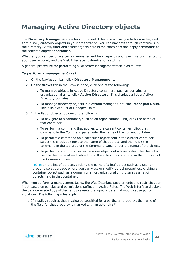# <span id="page-22-0"></span>**Managing Active Directory objects**

The **Directory Management** section of the Web Interface allows you to browse for, and administer, directory objects in your organization. You can navigate through containers in the directory; view, filter and select objects held in the container; and apply commands to the selected object or container.

Whether you can perform a certain management task depends upon permissions granted to your user account, and the Web Interface customization settings.

A general procedure for performing a Directory Management task is as follows.

### *To perform a management task*

- 1. On the Navigation bar, click **Directory Management**.
- 2. On the **Views** tab in the Browse pane, click one of the following:
	- To manage objects in Active Directory containers, such as domains or organizational units, click **Active Directory**. This displays a list of Active Directory domains.
	- <sup>l</sup> To manage directory objects in a certain Managed Unit, click **Managed Units**. This displays a list of Managed Units.
- 3. In the list of objects, do one of the following:
	- To navigate to a container, such as an organizational unit, click the name of that container.
	- To perform a command that applies to the current container, click that command in the Command pane under the name of the current container.
	- To perform a command on a particular object held in the current container, select the check box next to the name of that object, and then click the command in the top area of the Command pane, under the name of the object.
	- To perform a command on two or more objects at a time, select the check box next to the name of each object, and then click the command in the top area of the Command pane.

NOTE: In the list of objects, clicking the name of a leaf object such as a user or group, displays a page where you can view or modify object properties; clicking a container object such as a domain or an organizational unit, displays a list of objects held in that container.

When you perform a management tasks, the Web Interface supplements and restricts your input based on policies and permissions defined in Active Roles. The Web Interface displays the data generated by policies, and prevents the input of data that would cause policy violations. The following rules apply:

If a policy requires that a value be specified for a particular property, the name of the field for that property is marked with an asterisk (\*).

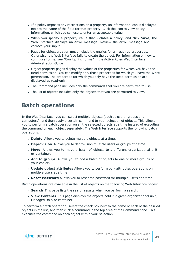- If a policy imposes any restrictions on a property, an information icon is displayed next to the name of the field for that property. Click the icon to view policy information, which you can use to enter an acceptable value.
- <sup>l</sup> When you specify a property value that violates a policy, and click **Save**, the Web Interface displays an error message. Review the error message and correct your input.
- Pages for object creation must include the entries for all required properties. Otherwise, the Web Interface fails to create the object. For information on how to configure forms, see "Configuring forms" in the Active Roles Web Interface Administration Guide.
- Object property pages display the values of the properties for which you have the Read permission. You can modify only those properties for which you have the Write permission. The properties for which you only have the Read permission are displayed as read-only.
- The Command pane includes only the commands that you are permitted to use.
- The list of objects includes only the objects that you are permitted to view.

### <span id="page-23-0"></span>**Batch operations**

In the Web Interface, you can select multiple objects (such as users, groups and computers), and then apply a certain command to your selection of objects. This allows you to perform a batch operation on all the selected objects at a time instead of executing the command on each object separately. The Web Interface supports the following batch operations:

- **.** Delete Allows you to delete multiple objects at a time.
- **. Deprovision** Allows you to deprovision multiple users or groups at a time.
- **Move** Allows you to move a batch of objects to a different organizational unit or container.
- **Add to groups** Allows you to add a batch of objects to one or more groups of your choice.
- <sup>l</sup> **Update object attributes** Allows you to perform bulk attributes operations on multiple users at a time.
- <sup>l</sup> **Reset Password** Allows you to reset the password for multiple users at a time.

Batch operations are available in the list of objects on the following Web Interface pages:

- **Search** This page lists the search results when you perform a search.
- **View Contents** This page displays the objects held in a given organizational unit, Managed Unit, or container.

To perform a batch operation, select the check box next to the name of each of the desired objects in the list, and then click a command in the top area of the Command pane. This executes the command on each object within your selection.

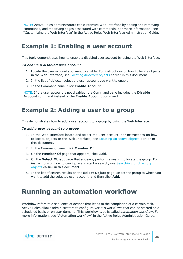NOTE: Active Roles administrators can customize Web Interface by adding and removing commands, and modifying pages associated with commands. For more information, see "Customizing the Web Interface" in the Active Roles Web Interface Administration Guide.

### <span id="page-24-0"></span>**Example 1: Enabling a user account**

This topic demonstrates how to enable a disabled user account by using the Web Interface.

### *To enable a disabled user account*

- 1. Locate the user account you want to enable. For instructions on how to locate objects in the Web Interface, see Locating [directory](#page-16-1) objects earlier in this document.
- 2. In the list of objects, select the user account you want to enable.
- 3. In the Command pane, click **Enable Account**.

NOTE: If the user account is not disabled, the Command pane includes the **Disable Account** command instead of the **Enable Account** command.

### <span id="page-24-1"></span>**Example 2: Adding a user to a group**

This demonstrates how to add a user account to a group by using the Web Interface.

#### *To add a user account to a group*

- 1. In the Web Interface locate and select the user account. For instructions on how to locate objects in the Web Interface, see Locating [directory](#page-16-1) objects earlier in this document.
- 2. In the Command pane, click **Member Of**.
- 3. On the **Member Of** page that appears, click **Add**.
- 4. On the **Select Object** page that appears, perform a search to locate the group. For instructions on how to configure and start a search, see [Searching](#page-16-2) for directory [objects](#page-16-2) earlier in this document.
- 5. In the list of search results on the **Select Object** page, select the group to which you want to add the selected user account, and then click **Add**.

## <span id="page-24-2"></span>**Running an automation workflow**

Workflow refers to a sequence of actions that leads to the completion of a certain task. Active Roles allows administrators to configure various workflows that can be started on a scheduled basis or on user demand. This workflow type is called *automation workflow*. For more information, see "Automation workflow" in the Active Roles Administration Guide.

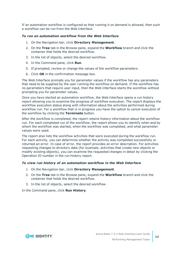If an automation workflow is configured so that running it on demand is allowed, then such a workflow can be run from the Web Interface.

### *To run an automation workflow from the Web Interface*

- 1. On the Navigation bar, click **Directory Management**.
- 2. On the **Tree** tab in the Browse pane, expand the **Workflow** branch and click the container that holds the desired workflow.
- 3. In the list of objects, select the desired workflow.
- 4. In the Command pane, click **Run**.
- 5. If prompted, review or change the values of the workflow parameters.
- 6. Click **OK** in the confirmation message box.

The Web Interface prompts you for parameter values if the workflow has any parameters that need to be supplied by the user running the workflow on demand. If the workflow has no parameters that require user input, then the Web Interface starts the workflow without prompting you for parameter values.

Once you have started an automation workflow, the Web Interface opens a run history report allowing you to examine the progress of workflow execution. The report displays the workflow execution status along with information about the activities performed during workflow run. For a workflow that is in progress you have the option to cancel execution of the workflow by clicking the **Terminate** button.

After the workflow is completed, the report retains history information about the workflow run. For each completed run of the workflow, the report allows you to identify when and by whom the workflow was started, when the workflow was completed, and what parameter values were used.

The report also lists the workflow activities that were executed during the workflow run. For each activity, you can determine whether the activity was completed successfully or returned an error. In case of error, the report provides an error description. For activities requesting changes to directory data (for example, activities that create new objects or modify existing objects), you can examine the requested changes in detail by clicking the Operation ID number in the run history report.

### *To view run history of an automation workflow in the Web Interface*

- 1. On the Navigation bar, click **Directory Management**.
- 2. On the **Tree** tab in the Browse pane, expand the **Workflow** branch and click the container that holds the desired workflow.
- 3. In the list of objects, select the desired workflow.

In the Command pane, click **Run History**.

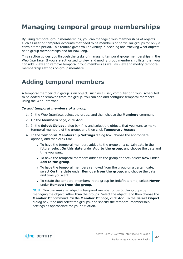# <span id="page-26-0"></span>**Managing temporal group memberships**

By using temporal group memberships, you can manage group memberships of objects such as user or computer accounts that need to be members of particular groups for only a certain time period. This feature gives you flexibility in deciding and tracking what objects need group memberships and for how long.

This section guides you through the tasks of managing temporal group memberships in the Web Interface. If you are authorized to view and modify group membership lists, then you can add, view and remove temporal group members as well as view and modify temporal membership settings on group members.

## <span id="page-26-1"></span>**Adding temporal members**

A temporal member of a group is an object, such as a user, computer or group, scheduled to be added or removed from the group. You can add and configure temporal members using the Web Interface.

### *To add temporal members of a group*

- 1. In the Web Interface, select the group, and then choose the **Members** command.
- 2. On the **Members** page, click **Add**.
- 3. In the **Select Object** dialog box find and select the objects that you want to make temporal members of the group, and then click **Temporary Access**.
- 4. In the **Temporal Membership Settings** dialog box, choose the appropriate options, and then click **OK**:
	- To have the temporal members added to the group on a certain date in the future, select **On this date** under **Add to the group**, and choose the date and time you want.
	- To have the temporal members added to the group at once, select **Now** under **Add to the group**.
	- To have the temporal members removed from the group on a certain date, select **On this date** under **Remove from the group**, and choose the date and time you want.
	- <sup>l</sup> To retain the temporal members in the group for indefinite time, select **Never** under **Remove from the group**.

NOTE: You can make an object a temporal member of particular groups by managing the object rather than the groups. Select the object, and then choose the **Member Of** command. On the **Member Of** page, click **Add**. In the **Select Object** dialog box, find and select the groups, and specify the temporal membership settings as appropriate for your situation.

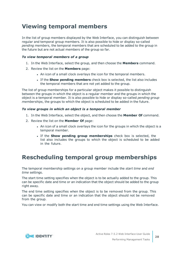## <span id="page-27-0"></span>**Viewing temporal members**

In the list of group members displayed by the Web Interface, you can distinguish between regular and temporal group members. It is also possible to hide or display so-called *pending members*, the temporal members that are scheduled to be added to the group in the future but are not actual members of the group so far.

### *To view temporal members of a group*

- 1. In the Web Interface, select the group, and then choose the **Members** command.
- 2. Review the list on the **Members** page:
	- An icon of a small clock overlays the icon for the temporal members.
	- <sup>l</sup> If the **Show pending members** check box is selected, the list also includes the temporal members that are not yet added to the group.

The list of group memberships for a particular object makes it possible to distinguish between the groups in which the object is a regular member and the groups in which the object is a temporal member. It is also possible to hide or display so-called *pending group memberships*, the groups to which the object is scheduled to be added in the future.

### *To view groups in which an object is a temporal member*

- 1. In the Web Interface, select the object, and then choose the **Member Of** command.
- 2. Review the list on the **Member Of** page:
	- An icon of a small clock overlays the icon for the groups in which the object is a temporal member.
	- <sup>l</sup> If the **Show pending group memberships** check box is selected, the list also includes the groups to which the object is scheduled to be added in the future.

## <span id="page-27-1"></span>**Rescheduling temporal group memberships**

The temporal membership settings on a group member include the *start time* and *end time* settings.

The start time setting specifies when the object is to be actually added to the group. This can be specific date and time or an indication that the object should be added to the group right away.

The end time setting specifies when the object is to be removed from the group. This can be specific date and time or an indication that the object should not be removed from the group.

You can view or modify both the start time and end time settings using the Web Interface.

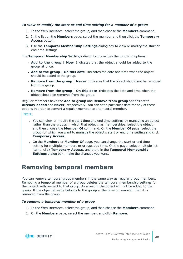### *To view or modify the start or end time setting for a member of a group*

- 1. In the Web Interface, select the group, and then choose the **Members** command.
- 2. In the list on the **Members** page, select the member and then click the **Temporary Access** button.
- 3. Use the **Temporal Membership Settings** dialog box to view or modify the start or end time settings.

The **Temporal Membership Settings** dialog box provides the following options:

- <sup>l</sup> **Add to the group | Now** Indicates that the object should be added to the group at once.
- <sup>l</sup> **Add to the group | On this date** Indicates the date and time when the object should be added to the group.
- <sup>l</sup> **Remove from the group | Never** Indicates that the object should not be removed from the group.
- <sup>l</sup> **Remove from the group | On this date** Indicates the date and time when the object should be removed from the group.

Regular members have the **Add to group** and **Remove from group** options set to **Already added** and **Never**, respectively. You can set a particular date for any of these options in order to convert a regular member to a temporal member.

### NOTE:

- You can view or modify the start time and end time settings by managing an object rather than the groups in which that object has memberships. select the object, and then choose the **Member Of** command. On the **Member Of** page, select the group for which you want to manage the object's start or end time setting and click **Temporary Access**.
- **.** On the **Members** or **Member Of** page, you can change the start or end time setting for multiple members or groups at a time. On the page, select multiple list items, click **Temporary Access**, and then, in the **Temporal Membership Settings** dialog box, make the changes you want.

### <span id="page-28-0"></span>**Removing temporal members**

You can remove temporal group members in the same way as regular group members. Removing a temporal member of a group deletes the temporal membership settings for that object with respect to that group. As a result, the object will not be added to the group. If the object already belongs to the group at the time of removal, then it is removed from the group.

### *To remove a temporal member of a group*

- 1. In the Web Interface, select the group, and then choose the **Members** command.
- 2. On the **Members** page, select the member, and click **Remove**.

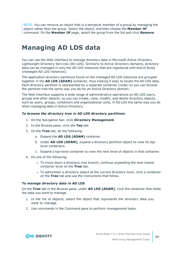NOTE: You can remove an object that is a temporal member of a group by managing the object rather than the group. Select the object, and then choose the **Member Of** command. On the **Member Of** page, select the group from the list and click **Remove**.

# <span id="page-29-0"></span>**Managing AD LDS data**

You can use the Web Interface to manage directory data in Microsoft Active Directory Lightweight Directory Services (AD LDS). Similarly to Active Directory domains, directory data can be managed in only the AD LDS instances that are registered with Active Roles (managed AD LDS instances).

The application directory partitions found on the managed AD LDS instances are grouped together in the **AD LDS (ADAM)** container, thus making it easy to locate the AD LDS data. Each directory partition is represented by a separate container (node) so you can browse the partition tree the same way you do for an Active Directory domain.

The Web Interface supports a wide range of administrative operations on AD LDS users, groups and other objects, so you can create, view, modify, and delete directory objects, such as users, groups, containers and organizational units, in AD LDS the same way you do when managing data in Active Directory.

### *To browse the directory tree in AD LDS directory partitions*

- 1. On the Navigation bar, click **Directory Management**.
- 2. In the Browse pane, click the **Tee** tab.
- 3. On the **Tree** tab, do the following:
	- a. Expand the **AD LDS (ADAM)** container.
	- b. Under **AD LDS (ADAM)**, expand a directory partition object to view its toplevel containers.
	- c. Expand a top-level container to view the next level of objects in that container.
- 4. Do one of the following:
	- To move down a directory tree branch, continue expanding the next lowest container level on the **Tree** tab.
	- To administer a directory object at the current directory level, click a container on the **Tree** tab and use the instructions that follow.

### *To manage directory data in AD LDS*

On the **Tree** tab in the Browse pane, under **AD LDS (ADAM)**, click the container that holds the data you want to manage.

- 1. In the list of objects, select the object that represents the directory data you want to manage.
- 2. Use commands in the Command pane to perform management tasks.

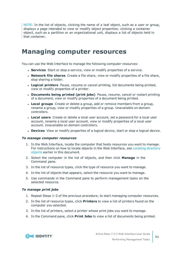NOTE: In the list of objects, clicking the name of a leaf object, such as a user or group, displays a page intended to view or modify object properties; clicking a container object, such as a partition or an organizational unit, displays a list of objects held in that container.

## <span id="page-30-0"></span>**Managing computer resources**

You can use the Web Interface to manage the following computer resources:

- **Services** Start or stop a service, view or modify properties of a service.
- **. Network file shares** Create a file share, view or modify properties of a file share, stop sharing a folder.
- **Logical printers** Pause, resume or cancel printing, list documents being printed, view or modify properties of a printer.
- <sup>l</sup> **Documents being printed (print jobs)** Pause, resume, cancel or restart printing of a document, view or modify properties of a document being printed.
- **Local groups** Create or delete a group, add or remove members from a group, rename a group, view or modify properties of a group. Unavailable on domain controllers.
- **Local users** Create or delete a local user account, set a password for a local user account, rename a local user account, view or modify properties of a local user account. Unavailable on domain controllers.
- **. Devices** View or modify properties of a logical device, start or stop a logical device.

#### *To manage computer resources*

- 1. In the Web Interface, locate the computer that hosts resources you want to manage. For instructions on how to locate objects in the Web Interface, see Locating [directory](#page-16-1) [objects](#page-16-1) earlier in this document.
- 2. Select the computer in the list of objects, and then click **Manage** in the Command pane.
- 3. In the list of resource types, click the type of resource you want to manage.
- 4. In the list of objects that appears, select the resource you want to manage.
- 5. Use commands in the Command pane to perform management tasks on the selected resource.

#### *To manage print jobs*

- 1. Repeat Steps 1–2 of the previous procedure, to start managing computer resources.
- 2. In the list of resource types, click **Printers** to view a list of printers found on the computer you selected.
- 3. In the list of printers, select a printer whose print jobs you want to manage.
- 4. In the Command pane, click **Print Jobs** to view a list of documents being printed.

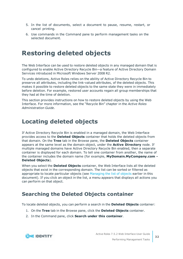- 5. In the list of documents, select a document to pause, resume, restart, or cancel printing.
- 6. Use commands in the Command pane to perform management tasks on the selected document.

# <span id="page-31-0"></span>**Restoring deleted objects**

The Web Interface can be used to restore deleted objects in any managed domain that is configured to enable Active Directory Recycle Bin—a feature of Active Directory Domain Services introduced in Microsoft Windows Server 2008 R2.

To undo deletions, Active Roles relies on the ability of Active Directory Recycle Bin to preserve all attributes, including the link-valued attributes, of the deleted objects. This makes it possible to restore deleted objects to the same state they were in immediately before deletion. For example, restored user accounts regain all group memberships that they had at the time of deletion.

This section provides instructions on how to restore deleted objects by using the Web Interface. For more information, see the "Recycle Bin" chapter in the *Active Roles Administration Guide*.

## <span id="page-31-1"></span>**Locating deleted objects**

If Active Directory Recycle Bin is enabled in a managed domain, the Web Interface provides access to the **Deleted Objects** container that holds the deleted objects from that domain. On the **Tree** tab in the Browse pane, the **Deleted Objects** container appears at the same level as the domain object, under the **Active Directory** node. If multiple managed domains have Active Directory Recycle Bin enabled, then a separate container is displayed for each domain. To tell one container from another, the name of the container includes the domain name (for example, **MyDomain.MyCompany.com - Deleted Objects**).

When you select the **Deleted Objects** container, the Web Interface lists all the deleted objects that exist in the corresponding domain. The list can be sorted or filtered as appropriate to locate particular objects (see [Managing](#page-15-0) the list of objects earlier in this document). If you click an object in the list, a menu appears that displays all actions you can perform on that object.

### <span id="page-31-2"></span>**Searching the Deleted Objects container**

To locate deleted objects, you can perform a search in the **Deleted Objects** container:

- 1. On the **Tree** tab in the Browse pane, click the **Deleted Objects** container.
- 2. In the Command pane, click **Search under this container**.

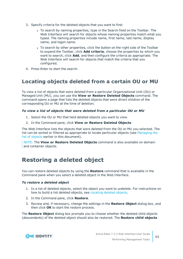- 3. Specify criteria for the deleted objects that you want to find:
	- To search by naming properties, type in the Search field on the Toolbar. The Web Interface will search for objects whose naming properties match what you typed. The naming properties include name, first name, last name, display name, and logon name.
	- To search by other properties, click the button on the right side of the Toolbar to expand the Toolbar, click **Add criteria**, choose the properties by which you want to search, click **Add**, and then configure the criteria as appropriate. The Web Interface will search for objects that match the criteria that you configured.
- <span id="page-32-0"></span>4. Press Enter to start the search.

### **Locating objects deleted from a certain OU or MU**

To view a list of objects that were deleted from a particular Organizational Unit (OU) or Managed Unit (MU), you can use the **View or Restore Deleted Objects** command. The command opens a page that lists the deleted objects that were direct children of the corresponding OU or MU at the time of deletion.

### *To view a list of objects that were deleted from a particular OU or MU*

- 1. Select the OU or MU that held deleted objects you want to view.
- 2. In the Command pane, click **View or Restore Deleted Objects**.

The Web Interface lists the objects that were deleted from the OU or MU you selected. The list can be sorted or filtered as appropriate to locate particular objects (see [Managing](#page-15-0) the list of [objects](#page-15-0) earlier in this document).

NOTE: The **View or Restore Deleted Objects** command is also available on domain and container objects.

## <span id="page-32-1"></span>**Restoring a deleted object**

You can restore deleted objects by using the **Restore** command that is available in the Command pane when you select a deleted object in the Web Interface.

### *To restore a deleted object*

- 1. In a list of deleted objects, select the object you want to undelete. For instructions on how to build a list deleted objects, see [Locating](#page-31-1) deleted objects.
- 2. In the Command pane, click **Restore**.
- 3. Review and, if necessary, change the settings in the **Restore Object** dialog box, and then click **OK** to start the restore process.

The **Restore Object** dialog box prompts you to choose whether the deleted child objects (descendants) of the deleted object should also be restored. The **Restore child objects**

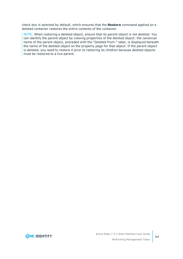check box is selected by default, which ensures that the **Restore** command applied on a deleted container restores the entire contents of the container.

NOTE: When restoring a deleted object, ensure that its parent object is not deleted. You can identify the parent object by viewing properties of the deleted object: the canonical name of the parent object, preceded with the "Deleted from:" label, is displayed beneath the name of the deleted object on the property page for that object. If the parent object is deleted, you need to restore it prior to restoring its children because deleted objects must be restored to a live parent.

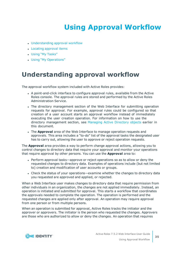# **Using Approval Workflow**

- <span id="page-34-0"></span>• [Understanding](#page-34-1) approval workflow
- Locating [approval](#page-35-0) items
- Using "My [Tasks"](#page-36-0)
- <span id="page-34-1"></span>• Using "My [Operations"](#page-39-0)

# **Understanding approval workflow**

The approval workflow system included with Active Roles provides:

- <sup>l</sup> A point-and-click interface to configure approval rules, available from the Active Roles console. The approval rules are stored and performed by the Active Roles Administration Service.
- The directory management section of the Web Interface for submitting operation requests for approval. For example, approval rules could be configured so that creation of a user account starts an approval workflow instead of immediately executing the user creation operation. For information on how to use the directory management section, see [Managing](#page-22-0) Active Directory objects earlier in this document.
- **.** The **Approval** area of the Web Interface to manage operation requests and approvals. This area includes a "to-do" list of the approval tasks the designated user has to carry out, allowing the user to approve or reject operation requests.

The **Approval** area provides a way to perform change approval actions, allowing you to control changes to directory data that require your approval and monitor your operations that require approval by other persons. You can use the **Approval** area to:

- Perform approval tasks—approve or reject operations so as to allow or deny the requested changes to directory data. Examples of operations include (but not limited to) creation and modification of user accounts or groups.
- Check the status of your operations—examine whether the changes to directory data you requested are approved and applied, or rejected.

When a Web Interface user makes changes to directory data that require permission from other individuals in an organization, the changes are not applied immediately. Instead, an operation is initiated and submitted for approval. This starts a workflow that coordinates the approvals needed to complete the operation. The operation is performed and the requested changes are applied only after approval. An operation may require approval from one person or from multiple persons.

When an operation is submitted for approval, Active Roles tracks the initiator and the approver or approvers. The initiator is the person who requested the changes. Approvers are those who are authorized to allow or deny the changes. An operation that requires

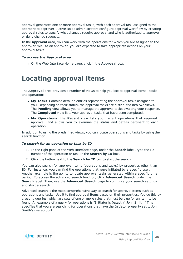approval generates one or more approval tasks, with each approval task assigned to the appropriate approver. Active Roles administrators configure approval workflow by creating approval rules to specify what changes require approval and who is authorized to approve or deny change requests.

In the **Approval** area, you can work with the operations for which you are assigned to the approver role. As an approver, you are expected to take appropriate actions on your approval tasks.

### *To access the Approval area*

<span id="page-35-0"></span>**.** On the Web Interface Home page, click in the **Approval** box.

# **Locating approval items**

The **Approval** area provides a number of views to help you locate approval items—tasks and operations:

- <sup>l</sup> **My Tasks** Contains detailed entries representing the approval tasks assigned to you. Depending on their status, the approval tasks are distributed into two views. The **Pending** view allows you to manage the approval tasks awaiting your response. The **Completed** view lists your approval tasks that have been completed.
- **. My Operations** The Recent view lists your recent operations that required approval, and allows you to examine the status and details pertinent to each operation.

In addition to using the predefined views, you can locate operations and tasks by using the search function.

### *To search for an operation or task by ID*

- 1. In the right pane of the Web Interface page, under the **Search** label, type the ID number of the operation or task in the **Search by ID** box.
- 2. Click the button next to the **Search by ID** box to start the search.

You can also search for approval items (operations and tasks) by properties other than ID. For instance, you can find the operations that were initiated by a specific user. Another example is the ability to locate approval tasks generated within a specific time period. To access the advanced search function, click **Advanced Search** under the **Search** label. Then, use the **Advanced Search** page to configure your search settings and start a search.

Advanced search is the most comprehensive way to search for approval items such as operations and tasks. Use it to find approval items based on their properties. You do this by creating queries, which are sets of one or more rules that must be true for an item to be found. An example of a query for operations is "Initiator is (exactly) John Smith." This specifies that you are searching for operations that have the Initiator property set to John Smith's use account.

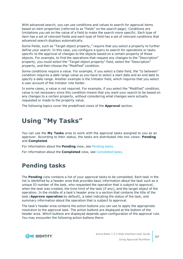With advanced search, you can use conditions and values to search for approval items based on item properties (referred to as "fields" on the search page). Conditions are limitations you set on the value of a field to make the search more specific. Each type of item has a set of relevant fields and each type of field has a set of relevant conditions that advanced search displays automatically.

Some fields, such as "Target object property," require that you select a property to further define your search. In this case, you configure a query to search for operations or tasks specific to the approval of changes to the objects based on a certain property of those objects. For example, to find the operations that request any changes to the "Description" property, you could select the "Target object property" field, select the "Description" property, and then choose the "Modified" condition.

Some conditions require a value. For example, if you select a Date field, the "Is between" condition requires a date range value so you have to select a start date and an end date to specify a date range. Another example is the Initiator field, which requires that you select a user account of the Initiator role holder.

In some cases, a value is not required. For example, if you select the "Modified" condition, value is not necessary since this condition means that you want your search to be based on any changes to a certain property, without considering what changes were actually requested or made to the property value.

<span id="page-36-0"></span>The following topics cover the predefined views of the **Approval** section.

# **Using "My Tasks"**

You can use the **My Tasks** area to work with the approval tasks assigned to you as an approver. According to their status, the tasks are distributed into two views: **Pending** and **Completed**.

For information about the **Pending** view, see [Pending](#page-36-1) tasks.

<span id="page-36-1"></span>For information about the **Completed** view, see [Completed](#page-38-0) tasks.

### **Pending tasks**

The **Pending** view contains a list of your approval tasks to be completed. Each task in the list is identified by a header area that provides basic information about the task such as a unique ID number of the task, who requested the operation that is subject to approval, when the task was created, the time limit of the task (if any), and the target object of the operation. In the middle of a task's header area is a section that contains the title of the task (**Approve operation** by default), a label indicating the status of the task, and summary information about the operation that is subject to approval.

The task's header area contains the action buttons you can use to apply the appropriate resolution to the approval task. The action buttons are displayed at the bottom of the header area. Which buttons are displayed depends upon configuration of the approval rule. You may encounter the following action buttons there:

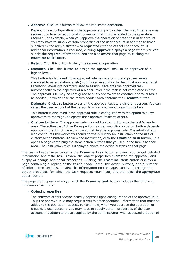**Approve** Click this button to allow the requested operation.

Depending on configuration of the approval and policy rules, the Web Interface may request you to enter additional information that must be added to the operation request. For example, when you approve the operation of creating a user account, you may have to supply certain properties of the user account in addition to those supplied by the administrator who requested creation of that user account. If additional information is required, clicking **Approve** displays a page where you can supply the required information. You can also access that page by clicking the **Examine task** button.

- **Reject** Click this button to deny the requested operation.
- **Escalate** Click this button to assign the approval task to an approver of a higher level.

This button is displayed if the approval rule has one or more approver levels (referred to as escalation levels) configured in addition to the initial approver level. Escalation levels are normally used to assign (escalate) the approval task automatically to the approver of a higher level if the task is not completed in time. The approval rule may be configured to allow approvers to escalate approval tasks as needed, in which case the task's header area contains the **Escalate** button.

**Delegate** Click this button to assign the approval task to a different person. You can select the user account of the person to whom you want to assign the task.

This button is displayed if the approval rule is configured with the option to allow approvers to reassign (delegate) their approval tasks to others.

<sup>l</sup> **Custom buttons** The approval rule may add custom buttons to the task's header area. The action that Active Roles performs when you click a custom button depends upon configuration of the workflow containing the approval rule. The administrator who configures the workflow should normally supply an instruction on the use of custom action buttons. To view the instruction, click the **Examine task** button. This opens a page containing the same action buttons that you see in the task's header area. The instruction text is displayed above the action buttons on that page.

The task's header area contains the **Examine task** button allowing you to get detailed information about the task, review the object properties submitted for approval, and supply or change additional properties. Clicking the **Examine task** button displays a page containing a replica of the task's header area, the action buttons, and a number of information sections. Review the information on the page, supply or change the object properties for which the task requests your input, and then click the appropriate action button.

The page that appears when you click the **Examine task** button includes the following information sections:

### <sup>l</sup> **Object properties**

The contents of this section heavily depends upon configuration of the approval rule. Thus the approval rule may request you to enter additional information that must be added to the operation request. For example, when you approve the operation of creating a user account, you may have to supply certain properties of the user account in addition to those supplied by the administrator who requested creation of

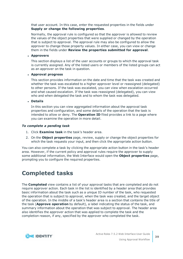that user account. In this case, enter the requested properties in the fields under **Supply or change the following properties**.

Normally, the approval rule is configured so that the approver is allowed to review the values of the object properties that were supplied or changed by the operation that is subject to approval. The approval rule may also be configured to allow the approver to change those property values. In either case, you can view or change them in the fields under **Review the properties submitted for approval**.

### <sup>l</sup> **Approvers**

This section displays a list of the user accounts or groups to which the approval task is currently assigned. Any of the listed users or members of the listed groups can act as an approver on the task in question.

### <sup>l</sup> **Approval progress**

This section provides information on the date and time that the task was created and whether the task was escalated to a higher approver level or reassigned (delegated) to other persons. If the task was escalated, you can view when escalation occurred and what caused escalation. If the task was reassigned (delegated), you can view who and when delegated the task and to whom the task was delegated.

<sup>l</sup> **Details**

In this section you can view aggregated information about the approval task properties and configuration, and some details of the operation that the task is intended to allow or deny. The **Operation ID** filed provides a link to a page where you can examine the operation in more detail.

### *To complete a pending task*

- 1. Click **Examine task** in the task's header area.
- 2. On the **Object properties** page, review, supply or change the object properties for which the task requests your input, and then click the appropriate action button.

You can also complete a task by clicking the appropriate action button in the task's header area. However, if the current policy and approval rules require the approver to supply some additional information, the Web Interface would open the **Object properties** page, prompting you to configure the required properties.

# <span id="page-38-0"></span>**Completed tasks**

The **Completed** view contains a list of your approval tasks that are completed and do not require approver action. Each task in the list is identified by a header area that provides basic information about the task such as a unique ID number of the task, who requested the operation that is subject to approval, when the task was created, and the target object of the operation. In the middle of a task's header area is a section that contains the title of the task (**Approve operation** by default), a label indicating the status of the task, and summary information about the operation that was subject to approval. The header area also identifies the approver action that was applied to complete the task and the completion reason, if any, specified by the approver who completed the task.

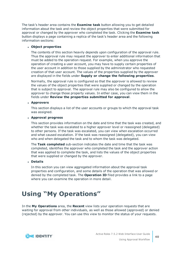The task's header area contains the **Examine task** button allowing you to get detailed information about the task and review the object properties that were submitted for approval or changed by the approver who completed the task. Clicking the **Examine task** button displays a page containing a replica of the task's header area and the following information sections:

### <sup>l</sup> **Object properties**

The contents of this section heavily depends upon configuration of the approval rule. Thus the approval rule may request the approver to enter additional information that must be added to the operation request. For example, when you approve the operation of creating a user account, you may have to supply certain properties of the user account in addition to those supplied by the administrator who requested creation of that user account. The values of the properties supplied by the approver are displayed in the fields under **Supply or change the following properties**.

Normally, the approval rule is configured so that the approver is allowed to review the values of the object properties that were supplied or changed by the operation that is subject to approval. The approval rule may also be configured to allow the approver to change those property values. In either case, you can view them in the fields under **Review the properties submitted for approval**.

### <sup>l</sup> **Approvers**

This section displays a list of the user accounts or groups to which the approval task was assigned.

### <sup>l</sup> **Approval progress**

This section provides information on the date and time that the task was created, and whether the task was escalated to a higher approver level or reassigned (delegated) to other persons. If the task was escalated, you can view when escalation occurred and what caused escalation. If the task was reassigned (delegated), you can view who and when delegated the task and to whom the task was delegated.

The **Task completed** sub-section indicates the date and time that the task was completed, identifies the approver who completed the task and the approver action that was applied to complete the task, and lists the values of the object properties that were supplied or changed by the approver.

### <sup>l</sup> **Details**

In this section you can view aggregated information about the approval task properties and configuration, and some details of the operation that was allowed or denied by the completed task. The **Operation ID** filed provides a link to a page where you can examine the operation in more detail.

# <span id="page-39-0"></span>**Using "My Operations"**

In the **My Operations** area, the **Recent** view lists your operation requests that are waiting for approval from other individuals, as well as those allowed (approved) or denied (rejected) by the approver. You can use this view to monitor the status of your requests.

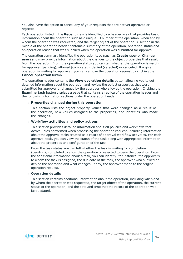You also have the option to cancel any of your requests that are not yet approved or rejected.

Each operation listed in the **Recent** view is identified by a header area that provides basic information about the operation such as a unique ID number of the operation, when and by whom the operation was requested, and the target object of the operation. A section in the middle of the operation header contains a summary of the operation, operation status and an operation reason that was supplied when the operation was submitted for approval.

The operation summary identifies the operation type (such as **Create user** or **Change user**) and may provide information about the changes to the object properties that result from the operation. From the operation status you can tell whether the operation is waiting for approval (pending), allowed (completed), denied (rejected) or canceled. If a given operation is waiting for approval, you can remove the operation request by clicking the **Cancel operation** button.

The operation header contains the **View operation details** button allowing you to get detailed information about the operation and review the object properties that were submitted for approval or changed by the approver who allowed the operation. Clicking the **Examine task** button displays a page that contains a replica of the operation header and the following information sections under the operation header:

### <sup>l</sup> **Properties changed during this operation**

This section lists the object property values that were changed as a result of the operation, new values assigned to the properties, and identifies who made the changes.

#### <sup>l</sup> **Workflow activities and policy actions**

This section provides detailed information about all policies and workflows that Active Roles performed when processing the operation request, including information about the approval tasks created as a result of approval workflow activities. For each approval task, you can view the status of the task along with aggregated information about the properties and configuration of the task.

From the task status you can tell whether the task is waiting for completion (pending), completed to allow the operation or rejected to deny the operation. From the additional information about a task, you can identify, for instance, the approvers to whom the task is assigned, the due date of the task, the approver who allowed or denied the operation and what changes, if any, the approver made to the original operation request.

#### <sup>l</sup> **Operation details**

This section contains additional information about the operation, including when and by whom the operation was requested, the target object of the operation, the current status of the operation, and the date and time that the record of the operation was last updated.